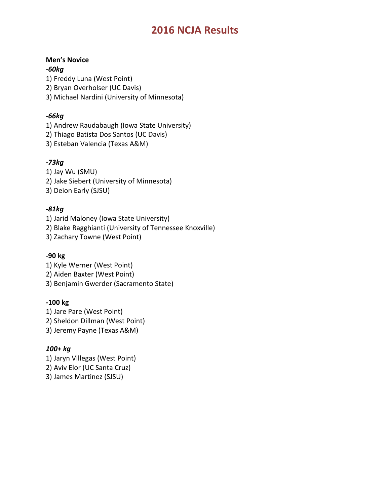# **Men's Novice**

#### *-60kg*

1) Freddy Luna (West Point)

2) Bryan Overholser (UC Davis)

3) Michael Nardini (University of Minnesota)

# *-66kg*

1) Andrew Raudabaugh (Iowa State University) 2) Thiago Batista Dos Santos (UC Davis) 3) Esteban Valencia (Texas A&M)

# *-73kg*

1) Jay Wu (SMU) 2) Jake Siebert (University of Minnesota) 3) Deion Early (SJSU)

# *-81kg*

1) Jarid Maloney (Iowa State University) 2) Blake Ragghianti (University of Tennessee Knoxville) 3) Zachary Towne (West Point)

## **-90 kg**

1) Kyle Werner (West Point) 2) Aiden Baxter (West Point) 3) Benjamin Gwerder (Sacramento State)

## **-100 kg**

1) Jare Pare (West Point) 2) Sheldon Dillman (West Point) 3) Jeremy Payne (Texas A&M)

## *100+ kg*

1) Jaryn Villegas (West Point) 2) Aviv Elor (UC Santa Cruz) 3) James Martinez (SJSU)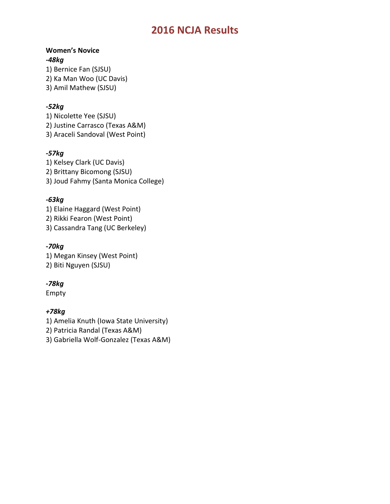# **Women's Novice**

## *-48kg*

1) Bernice Fan (SJSU) 2) Ka Man Woo (UC Davis) 3) Amil Mathew (SJSU)

## *-52kg*

1) Nicolette Yee (SJSU) 2) Justine Carrasco (Texas A&M) 3) Araceli Sandoval (West Point)

# *-57kg*

1) Kelsey Clark (UC Davis) 2) Brittany Bicomong (SJSU) 3) Joud Fahmy (Santa Monica College)

## *-63kg*

1) Elaine Haggard (West Point) 2) Rikki Fearon (West Point) 3) Cassandra Tang (UC Berkeley)

## *-70kg*

1) Megan Kinsey (West Point) 2) Biti Nguyen (SJSU)

## *-78kg*

Empty

## *+78kg*

1) Amelia Knuth (Iowa State University) 2) Patricia Randal (Texas A&M)

3) Gabriella Wolf-Gonzalez (Texas A&M)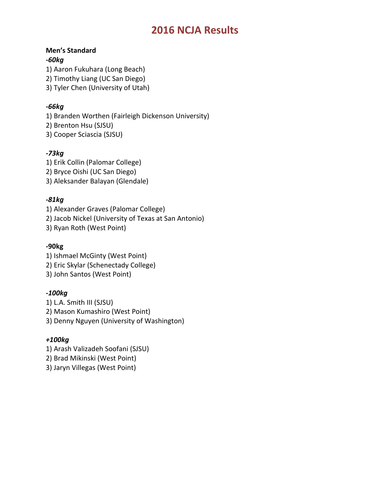# **Men's Standard**

## *-60kg*

1) Aaron Fukuhara (Long Beach)

2) Timothy Liang (UC San Diego)

3) Tyler Chen (University of Utah)

# *-66kg*

1) Branden Worthen (Fairleigh Dickenson University) 2) Brenton Hsu (SJSU) 3) Cooper Sciascia (SJSU)

# *-73kg*

1) Erik Collin (Palomar College) 2) Bryce Oishi (UC San Diego)

3) Aleksander Balayan (Glendale)

# *-81kg*

1) Alexander Graves (Palomar College) 2) Jacob Nickel (University of Texas at San Antonio) 3) Ryan Roth (West Point)

# **-90kg**

1) Ishmael McGinty (West Point) 2) Eric Skylar (Schenectady College) 3) John Santos (West Point)

# *-100kg*

1) L.A. Smith III (SJSU) 2) Mason Kumashiro (West Point) 3) Denny Nguyen (University of Washington)

# *+100kg*

1) Arash Valizadeh Soofani (SJSU)

2) Brad Mikinski (West Point)

3) Jaryn Villegas (West Point)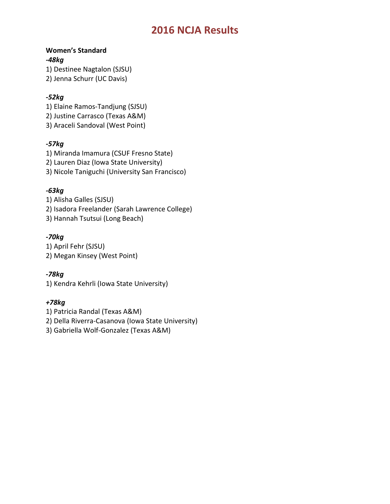## **Women's Standard**

*-48kg*  1) Destinee Nagtalon (SJSU) 2) Jenna Schurr (UC Davis)

#### *-52kg*

1) Elaine Ramos-Tandjung (SJSU) 2) Justine Carrasco (Texas A&M) 3) Araceli Sandoval (West Point)

#### *-57kg*

1) Miranda Imamura (CSUF Fresno State) 2) Lauren Diaz (Iowa State University) 3) Nicole Taniguchi (University San Francisco)

#### *-63kg*

1) Alisha Galles (SJSU) 2) Isadora Freelander (Sarah Lawrence College) 3) Hannah Tsutsui (Long Beach)

## *-70kg*

1) April Fehr (SJSU) 2) Megan Kinsey (West Point)

## *-78kg*

1) Kendra Kehrli (Iowa State University)

#### *+78kg*

1) Patricia Randal (Texas A&M)

2) Della Riverra-Casanova (Iowa State University)

3) Gabriella Wolf-Gonzalez (Texas A&M)